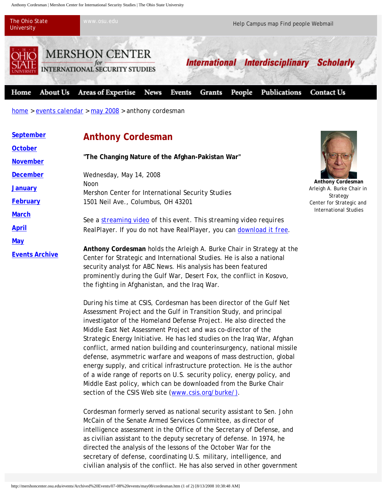Anthony Cordesman | Mershon Center for International Security Studies | The Ohio State University



home > events calendar > may 2008 > anthony cordesman

| September             | <b>Anthony Cordesman</b>                                                                                                                                                                                                                                                                                                                                                                                                                                                                                                                                                                                                                                                                                                                                                                       |                                                |
|-----------------------|------------------------------------------------------------------------------------------------------------------------------------------------------------------------------------------------------------------------------------------------------------------------------------------------------------------------------------------------------------------------------------------------------------------------------------------------------------------------------------------------------------------------------------------------------------------------------------------------------------------------------------------------------------------------------------------------------------------------------------------------------------------------------------------------|------------------------------------------------|
| <b>October</b>        | "The Changing Nature of the Afghan-Pakistan War"                                                                                                                                                                                                                                                                                                                                                                                                                                                                                                                                                                                                                                                                                                                                               |                                                |
| <b>November</b>       |                                                                                                                                                                                                                                                                                                                                                                                                                                                                                                                                                                                                                                                                                                                                                                                                |                                                |
| <b>December</b>       | Wednesday, May 14, 2008                                                                                                                                                                                                                                                                                                                                                                                                                                                                                                                                                                                                                                                                                                                                                                        |                                                |
| <b>January</b>        | Noon                                                                                                                                                                                                                                                                                                                                                                                                                                                                                                                                                                                                                                                                                                                                                                                           | Anthony Cordesman<br>Arleigh A. Burke Chair in |
| <b>February</b>       | Mershon Center for International Security Studies<br>1501 Neil Ave., Columbus, OH 43201                                                                                                                                                                                                                                                                                                                                                                                                                                                                                                                                                                                                                                                                                                        | Strategy<br>Center for Strategic and           |
| <b>March</b>          |                                                                                                                                                                                                                                                                                                                                                                                                                                                                                                                                                                                                                                                                                                                                                                                                | <b>International Studies</b>                   |
|                       | See a streaming video of this event. This streaming video requires                                                                                                                                                                                                                                                                                                                                                                                                                                                                                                                                                                                                                                                                                                                             |                                                |
| <b>April</b>          | RealPlayer. If you do not have RealPlayer, you can download it free.                                                                                                                                                                                                                                                                                                                                                                                                                                                                                                                                                                                                                                                                                                                           |                                                |
| <b>May</b>            | Anthony Cordesman holds the Arleigh A. Burke Chair in Strategy at the                                                                                                                                                                                                                                                                                                                                                                                                                                                                                                                                                                                                                                                                                                                          |                                                |
| <b>Events Archive</b> | Center for Strategic and International Studies. He is also a national<br>security analyst for ABC News. His analysis has been featured<br>prominently during the Gulf War, Desert Fox, the conflict in Kosovo,<br>the fighting in Afghanistan, and the Iraq War.                                                                                                                                                                                                                                                                                                                                                                                                                                                                                                                               |                                                |
|                       | During his time at CSIS, Cordesman has been director of the Gulf Net<br>Assessment Project and the Gulf in Transition Study, and principal<br>investigator of the Homeland Defense Project. He also directed the<br>Middle East Net Assessment Project and was co-director of the<br>Strategic Energy Initiative. He has led studies on the Iraq War, Afghan<br>conflict, armed nation building and counterinsurgency, national missile<br>defense, asymmetric warfare and weapons of mass destruction, global<br>energy supply, and critical infrastructure protection. He is the author<br>of a wide range of reports on U.S. security policy, energy policy, and<br>Middle East policy, which can be downloaded from the Burke Chair<br>section of the CSIS Web site (www.csis.org/burke/). |                                                |

Cordesman formerly served as national security assistant to Sen. John McCain of the Senate Armed Services Committee, as director of intelligence assessment in the Office of the Secretary of Defense, and as civilian assistant to the deputy secretary of defense. In 1974, he directed the analysis of the lessons of the October War for the secretary of defense, coordinating U.S. military, intelligence, and civilian analysis of the conflict. He has also served in other government